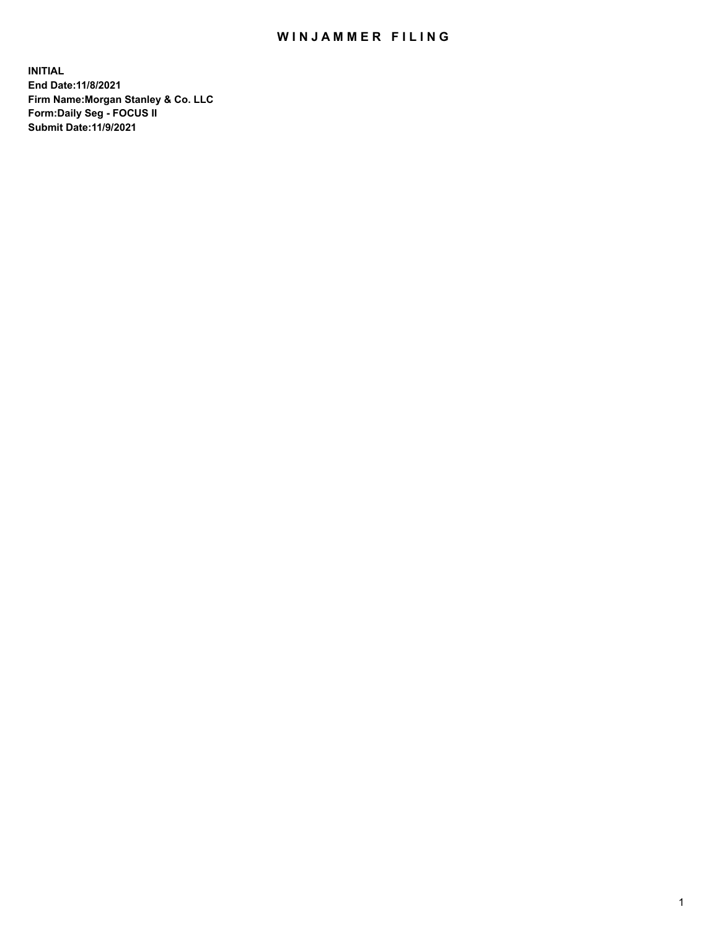## WIN JAMMER FILING

**INITIAL End Date:11/8/2021 Firm Name:Morgan Stanley & Co. LLC Form:Daily Seg - FOCUS II Submit Date:11/9/2021**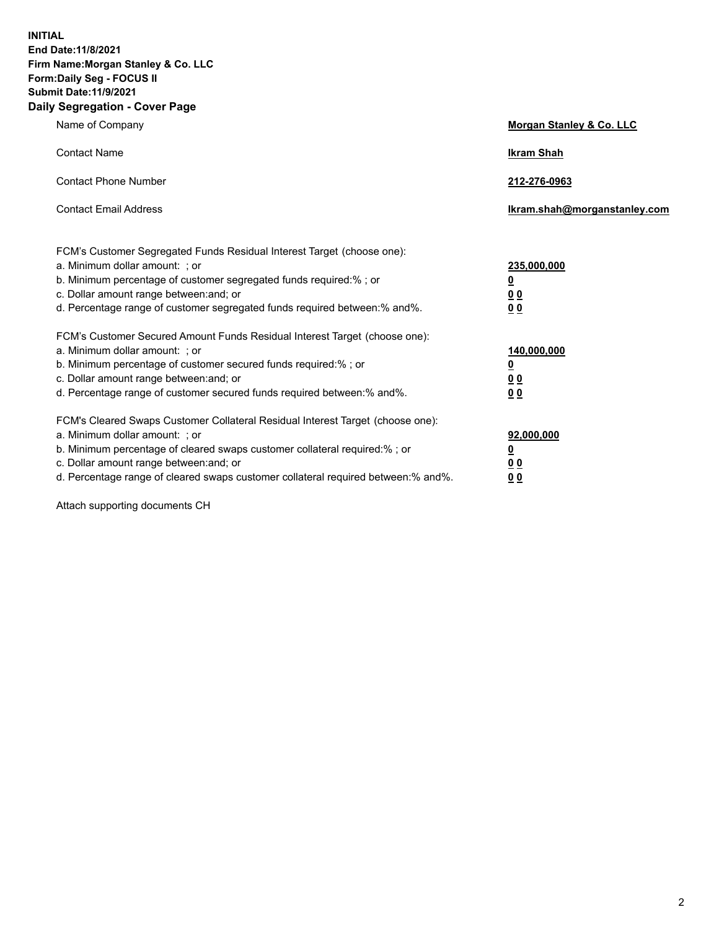**INITIAL End Date:11/8/2021 Firm Name:Morgan Stanley & Co. LLC Form:Daily Seg - FOCUS II Submit Date:11/9/2021 Daily Segregation - Cover Page**

| Name of Company                                                                                                                                                                                                                                                                                                                | <b>Morgan Stanley &amp; Co. LLC</b>                    |
|--------------------------------------------------------------------------------------------------------------------------------------------------------------------------------------------------------------------------------------------------------------------------------------------------------------------------------|--------------------------------------------------------|
| <b>Contact Name</b>                                                                                                                                                                                                                                                                                                            | <b>Ikram Shah</b>                                      |
| <b>Contact Phone Number</b>                                                                                                                                                                                                                                                                                                    | 212-276-0963                                           |
| <b>Contact Email Address</b>                                                                                                                                                                                                                                                                                                   | Ikram.shah@morganstanley.com                           |
| FCM's Customer Segregated Funds Residual Interest Target (choose one):<br>a. Minimum dollar amount: ; or<br>b. Minimum percentage of customer segregated funds required:% ; or<br>c. Dollar amount range between: and; or<br>d. Percentage range of customer segregated funds required between:% and%.                         | 235,000,000<br><u>0</u><br>0 Q<br>0 Q                  |
| FCM's Customer Secured Amount Funds Residual Interest Target (choose one):<br>a. Minimum dollar amount: ; or<br>b. Minimum percentage of customer secured funds required:% ; or<br>c. Dollar amount range between: and; or<br>d. Percentage range of customer secured funds required between: % and %.                         | 140,000,000<br><u>0</u><br><u>00</u><br>0 <sub>0</sub> |
| FCM's Cleared Swaps Customer Collateral Residual Interest Target (choose one):<br>a. Minimum dollar amount: ; or<br>b. Minimum percentage of cleared swaps customer collateral required:% ; or<br>c. Dollar amount range between: and; or<br>d. Percentage range of cleared swaps customer collateral required between:% and%. | 92,000,000<br><u>0</u><br>0 Q<br>00                    |

Attach supporting documents CH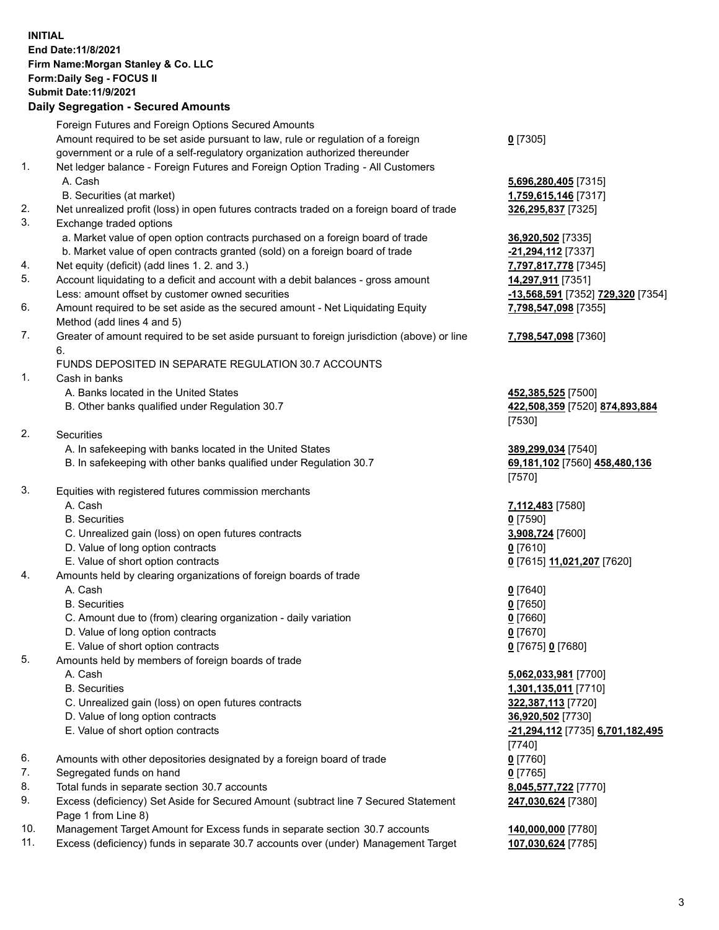## **INITIAL End Date:11/8/2021 Firm Name:Morgan Stanley & Co. LLC Form:Daily Seg - FOCUS II Submit Date:11/9/2021**

## **Daily Segregation - Secured Amounts**

Foreign Futures and Foreign Options Secured Amounts Amount required to be set aside pursuant to law, rule or regulation of a foreign government or a rule of a self-regulatory organization authorized thereunder 1. Net ledger balance - Foreign Futures and Foreign Option Trading - All Customers A. Cash **5,696,280,405** [7315] B. Securities (at market) **1,759,615,146** [7317] 2. Net unrealized profit (loss) in open futures contracts traded on a foreign board of trade **326,295,837** [7325] 3. Exchange traded options a. Market value of open option contracts purchased on a foreign board of trade **36,920,502** [7335] b. Market value of open contracts granted (sold) on a foreign board of trade **-21,294,112** [7337] 4. Net equity (deficit) (add lines 1. 2. and 3.) **7,797,817,778** [7345] 5. Account liquidating to a deficit and account with a debit balances - gross amount **14,297,911** [7351] Less: amount offset by customer owned securities **-13,568,591** [7352] **729,320** [7354] 6. Amount required to be set aside as the secured amount - Net Liquidating Equity Method (add lines 4 and 5) 7. Greater of amount required to be set aside pursuant to foreign jurisdiction (above) or line 6. FUNDS DEPOSITED IN SEPARATE REGULATION 30.7 ACCOUNTS 1. Cash in banks A. Banks located in the United States **452,385,525** [7500] B. Other banks qualified under Regulation 30.7 **422,508,359** [7520] **874,893,884** [7530] 2. Securities A. In safekeeping with banks located in the United States **389,299,034** [7540] B. In safekeeping with other banks qualified under Regulation 30.7 **69,181,102** [7560] **458,480,136** [7570] 3. Equities with registered futures commission merchants A. Cash **7,112,483** [7580] B. Securities **0** [7590] C. Unrealized gain (loss) on open futures contracts **3,908,724** [7600] D. Value of long option contracts **0** [7610] E. Value of short option contracts **0** [7615] **11,021,207** [7620] 4. Amounts held by clearing organizations of foreign boards of trade A. Cash **0** [7640] B. Securities **0** [7650] C. Amount due to (from) clearing organization - daily variation **0** [7660] D. Value of long option contracts **0** [7670] E. Value of short option contracts **0** [7675] **0** [7680] 5. Amounts held by members of foreign boards of trade A. Cash **5,062,033,981** [7700] B. Securities **1,301,135,011** [7710] C. Unrealized gain (loss) on open futures contracts **322,387,113** [7720] D. Value of long option contracts **36,920,502** [7730] E. Value of short option contracts **-21,294,112** [7735] **6,701,182,495** [7740] 6. Amounts with other depositories designated by a foreign board of trade **0** [7760] 7. Segregated funds on hand **0** [7765] 8. Total funds in separate section 30.7 accounts **8,045,577,722** [7770] 9. Excess (deficiency) Set Aside for Secured Amount (subtract line 7 Secured Statement Page 1 from Line 8)

- 10. Management Target Amount for Excess funds in separate section 30.7 accounts **140,000,000** [7780]
- 11. Excess (deficiency) funds in separate 30.7 accounts over (under) Management Target **107,030,624** [7785]

**0** [7305]

**7,798,547,098** [7355]

## **7,798,547,098** [7360]

**247,030,624** [7380]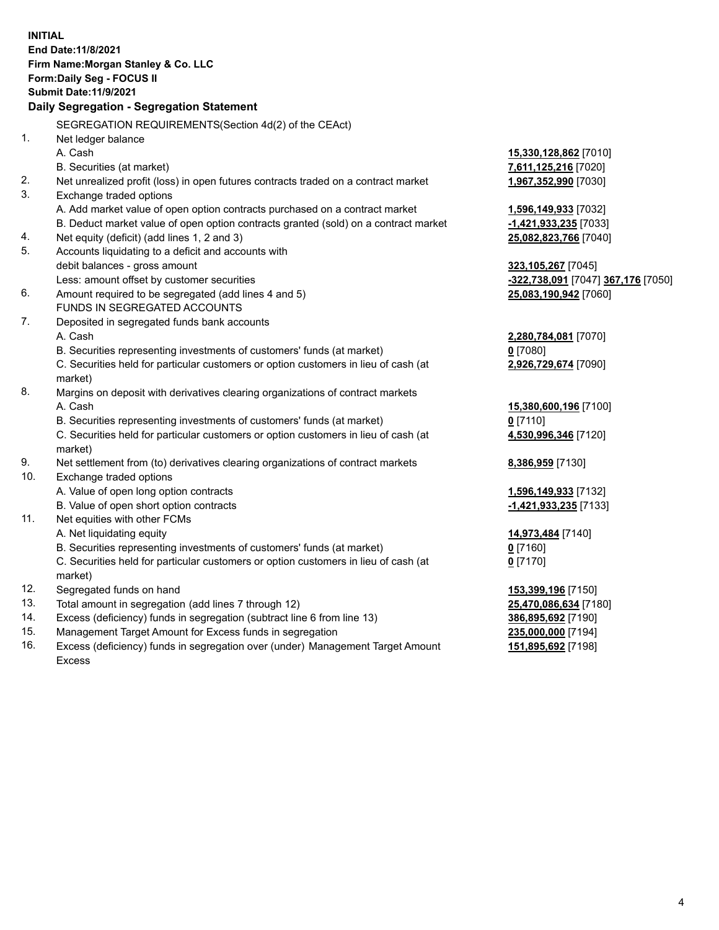**INITIAL End Date:11/8/2021 Firm Name:Morgan Stanley & Co. LLC Form:Daily Seg - FOCUS II Submit Date:11/9/2021 Daily Segregation - Segregation Statement** SEGREGATION REQUIREMENTS(Section 4d(2) of the CEAct) 1. Net ledger balance A. Cash **15,330,128,862** [7010] B. Securities (at market) **7,611,125,216** [7020] 2. Net unrealized profit (loss) in open futures contracts traded on a contract market **1,967,352,990** [7030] 3. Exchange traded options A. Add market value of open option contracts purchased on a contract market **1,596,149,933** [7032] B. Deduct market value of open option contracts granted (sold) on a contract market **-1,421,933,235** [7033] 4. Net equity (deficit) (add lines 1, 2 and 3) **25,082,823,766** [7040] 5. Accounts liquidating to a deficit and accounts with debit balances - gross amount **323,105,267** [7045] Less: amount offset by customer securities **-322,738,091** [7047] **367,176** [7050] 6. Amount required to be segregated (add lines 4 and 5) **25,083,190,942** [7060] FUNDS IN SEGREGATED ACCOUNTS 7. Deposited in segregated funds bank accounts A. Cash **2,280,784,081** [7070] B. Securities representing investments of customers' funds (at market) **0** [7080] C. Securities held for particular customers or option customers in lieu of cash (at market) **2,926,729,674** [7090] 8. Margins on deposit with derivatives clearing organizations of contract markets A. Cash **15,380,600,196** [7100] B. Securities representing investments of customers' funds (at market) **0** [7110] C. Securities held for particular customers or option customers in lieu of cash (at market) **4,530,996,346** [7120] 9. Net settlement from (to) derivatives clearing organizations of contract markets **8,386,959** [7130] 10. Exchange traded options A. Value of open long option contracts **1,596,149,933** [7132] B. Value of open short option contracts **-1,421,933,235** [7133] 11. Net equities with other FCMs A. Net liquidating equity **14,973,484** [7140] B. Securities representing investments of customers' funds (at market) **0** [7160] C. Securities held for particular customers or option customers in lieu of cash (at market) **0** [7170] 12. Segregated funds on hand **153,399,196** [7150] 13. Total amount in segregation (add lines 7 through 12) **25,470,086,634** [7180] 14. Excess (deficiency) funds in segregation (subtract line 6 from line 13) **386,895,692** [7190] 15. Management Target Amount for Excess funds in segregation **235,000,000** [7194]

16. Excess (deficiency) funds in segregation over (under) Management Target Amount Excess

**151,895,692** [7198]